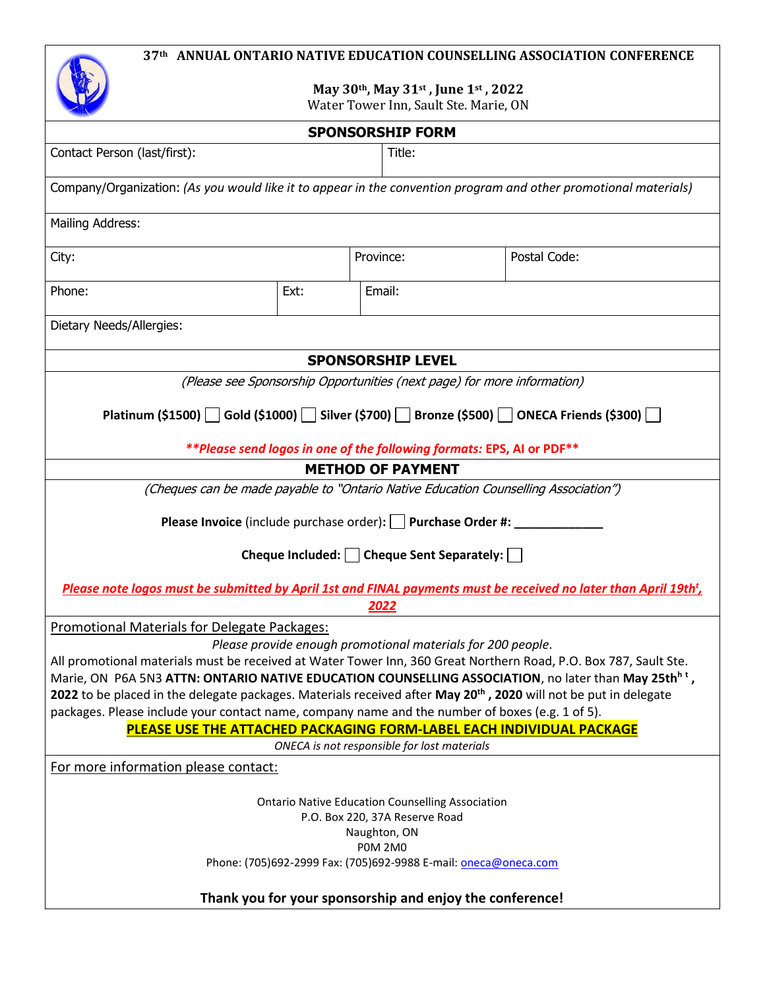

**May 30th, May 31st , June 1st , 2022**

| Water Tower Inn, Sault Ste. Marie, ON |  |  |
|---------------------------------------|--|--|
|---------------------------------------|--|--|

|                                                                                                                                                                                                                                                   |      | <b>SPONSORSHIP FORM</b>  |                                                                                                                              |  |  |  |
|---------------------------------------------------------------------------------------------------------------------------------------------------------------------------------------------------------------------------------------------------|------|--------------------------|------------------------------------------------------------------------------------------------------------------------------|--|--|--|
| Contact Person (last/first):                                                                                                                                                                                                                      |      | Title:                   |                                                                                                                              |  |  |  |
|                                                                                                                                                                                                                                                   |      |                          |                                                                                                                              |  |  |  |
| Company/Organization: (As you would like it to appear in the convention program and other promotional materials)                                                                                                                                  |      |                          |                                                                                                                              |  |  |  |
| Mailing Address:                                                                                                                                                                                                                                  |      |                          |                                                                                                                              |  |  |  |
|                                                                                                                                                                                                                                                   |      |                          |                                                                                                                              |  |  |  |
| City:                                                                                                                                                                                                                                             |      | Province:                | Postal Code:                                                                                                                 |  |  |  |
| Phone:                                                                                                                                                                                                                                            | Ext: | Email:                   |                                                                                                                              |  |  |  |
| Dietary Needs/Allergies:                                                                                                                                                                                                                          |      |                          |                                                                                                                              |  |  |  |
|                                                                                                                                                                                                                                                   |      | <b>SPONSORSHIP LEVEL</b> |                                                                                                                              |  |  |  |
|                                                                                                                                                                                                                                                   |      |                          | (Please see Sponsorship Opportunities (next page) for more information)                                                      |  |  |  |
|                                                                                                                                                                                                                                                   |      |                          |                                                                                                                              |  |  |  |
|                                                                                                                                                                                                                                                   |      |                          | Platinum (\$1500) Gold (\$1000) Silver (\$700) Bronze (\$500) ONECA Friends (\$300)                                          |  |  |  |
|                                                                                                                                                                                                                                                   |      |                          | ** Please send logos in one of the following formats: EPS, AI or PDF**                                                       |  |  |  |
|                                                                                                                                                                                                                                                   |      | <b>METHOD OF PAYMENT</b> |                                                                                                                              |  |  |  |
| (Cheques can be made payable to "Ontario Native Education Counselling Association")                                                                                                                                                               |      |                          |                                                                                                                              |  |  |  |
| Please Invoice (include purchase order): Purchase Order #: ____                                                                                                                                                                                   |      |                          |                                                                                                                              |  |  |  |
| Cheque Included: Cheque Sent Separately:                                                                                                                                                                                                          |      |                          |                                                                                                                              |  |  |  |
|                                                                                                                                                                                                                                                   |      |                          | Please note logos must be submitted by April 1st and FINAL payments must be received no later than April 19th <sup>t</sup> , |  |  |  |
|                                                                                                                                                                                                                                                   |      | 2022                     |                                                                                                                              |  |  |  |
| Promotional Materials for Delegate Packages:                                                                                                                                                                                                      |      |                          |                                                                                                                              |  |  |  |
| Please provide enough promotional materials for 200 people.                                                                                                                                                                                       |      |                          |                                                                                                                              |  |  |  |
| All promotional materials must be received at Water Tower Inn, 360 Great Northern Road, P.O. Box 787, Sault Ste.                                                                                                                                  |      |                          |                                                                                                                              |  |  |  |
| Marie, ON P6A 5N3 ATTN: ONTARIO NATIVE EDUCATION COUNSELLING ASSOCIATION, no later than May 25th <sup>n t</sup> ,<br>2022 to be placed in the delegate packages. Materials received after May 20 <sup>th</sup> , 2020 will not be put in delegate |      |                          |                                                                                                                              |  |  |  |
| packages. Please include your contact name, company name and the number of boxes (e.g. 1 of 5).                                                                                                                                                   |      |                          |                                                                                                                              |  |  |  |
| PLEASE USE THE ATTACHED PACKAGING FORM-LABEL EACH INDIVIDUAL PACKAGE                                                                                                                                                                              |      |                          |                                                                                                                              |  |  |  |
| ONECA is not responsible for lost materials                                                                                                                                                                                                       |      |                          |                                                                                                                              |  |  |  |
| For more information please contact:                                                                                                                                                                                                              |      |                          |                                                                                                                              |  |  |  |
|                                                                                                                                                                                                                                                   |      |                          |                                                                                                                              |  |  |  |
| <b>Ontario Native Education Counselling Association</b>                                                                                                                                                                                           |      |                          |                                                                                                                              |  |  |  |
| P.O. Box 220, 37A Reserve Road                                                                                                                                                                                                                    |      |                          |                                                                                                                              |  |  |  |
| Naughton, ON                                                                                                                                                                                                                                      |      |                          |                                                                                                                              |  |  |  |
| <b>POM 2M0</b><br>Phone: (705)692-2999 Fax: (705)692-9988 E-mail: oneca@oneca.com                                                                                                                                                                 |      |                          |                                                                                                                              |  |  |  |
|                                                                                                                                                                                                                                                   |      |                          |                                                                                                                              |  |  |  |
| Thank you for your sponsorship and enjoy the conference!                                                                                                                                                                                          |      |                          |                                                                                                                              |  |  |  |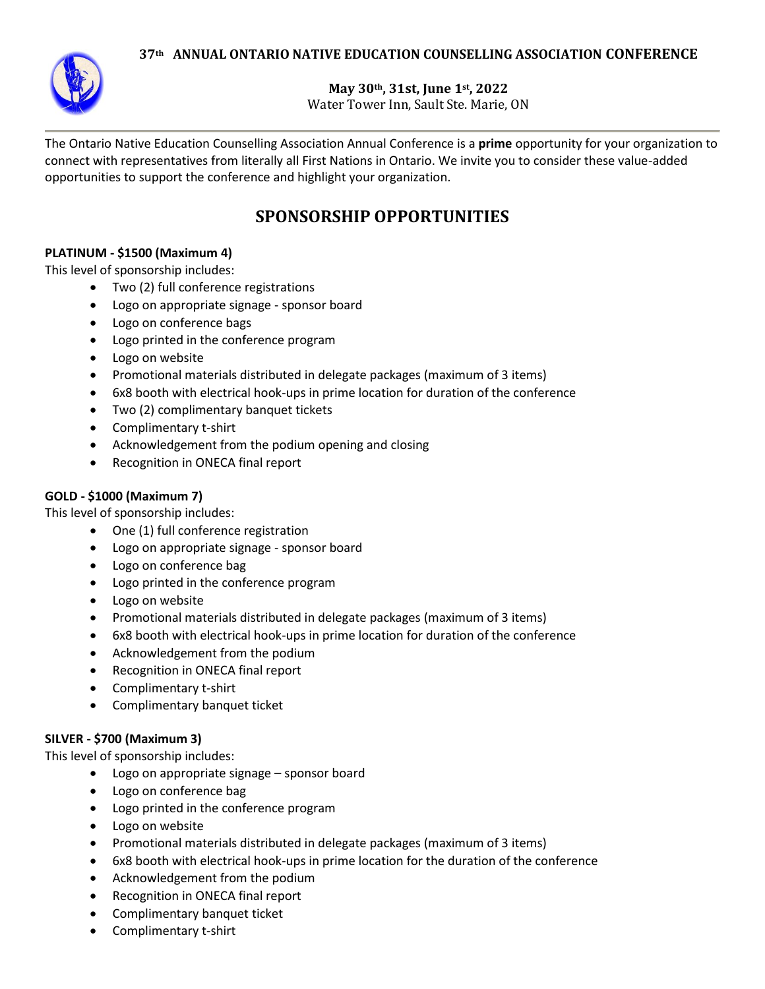

**May 30th, 31st, June 1st, 2022**

Water Tower Inn, Sault Ste. Marie, ON

The Ontario Native Education Counselling Association Annual Conference is a **prime** opportunity for your organization to connect with representatives from literally all First Nations in Ontario. We invite you to consider these value-added opportunities to support the conference and highlight your organization.

# **SPONSORSHIP OPPORTUNITIES**

## **PLATINUM - \$1500 (Maximum 4)**

This level of sponsorship includes:

- Two (2) full conference registrations
- Logo on appropriate signage sponsor board
- Logo on conference bags
- Logo printed in the conference program
- Logo on website
- Promotional materials distributed in delegate packages (maximum of 3 items)
- 6x8 booth with electrical hook-ups in prime location for duration of the conference
- Two (2) complimentary banquet tickets
- Complimentary t-shirt
- Acknowledgement from the podium opening and closing
- Recognition in ONECA final report

# **GOLD - \$1000 (Maximum 7)**

This level of sponsorship includes:

- One (1) full conference registration
- Logo on appropriate signage sponsor board
- Logo on conference bag
- Logo printed in the conference program
- Logo on website
- Promotional materials distributed in delegate packages (maximum of 3 items)
- 6x8 booth with electrical hook-ups in prime location for duration of the conference
- Acknowledgement from the podium
- Recognition in ONECA final report
- Complimentary t-shirt
- Complimentary banquet ticket

## **SILVER - \$700 (Maximum 3)**

This level of sponsorship includes:

- Logo on appropriate signage sponsor board
- Logo on conference bag
- Logo printed in the conference program
- Logo on website
- Promotional materials distributed in delegate packages (maximum of 3 items)
- 6x8 booth with electrical hook-ups in prime location for the duration of the conference
- Acknowledgement from the podium
- Recognition in ONECA final report
- Complimentary banquet ticket
- Complimentary t-shirt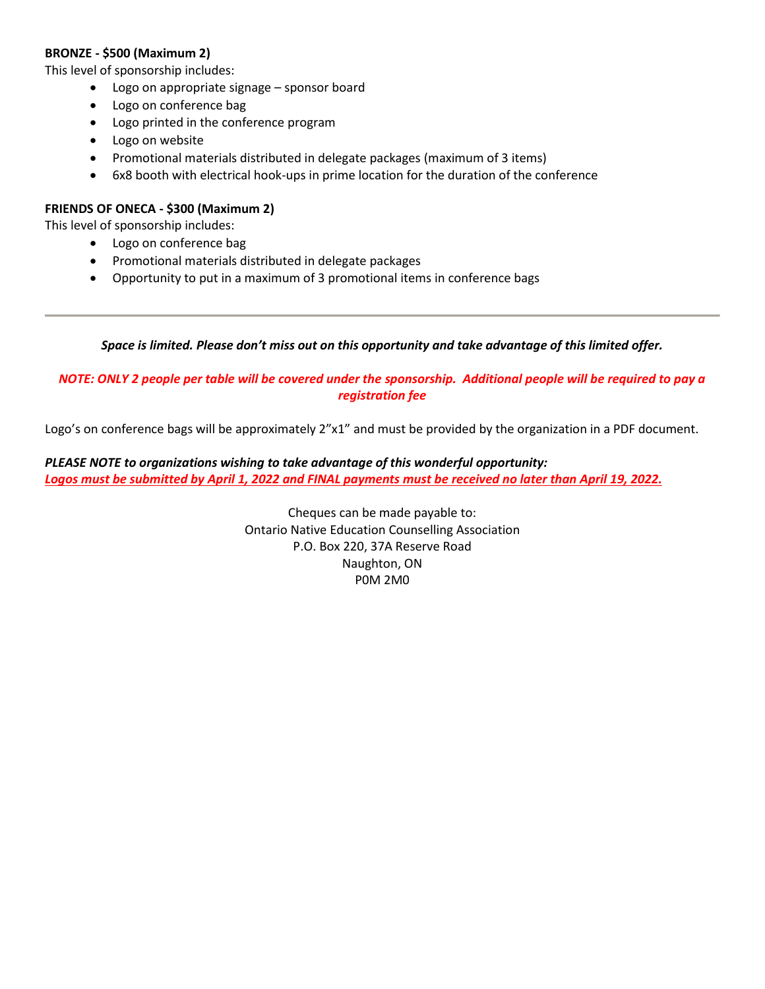## **BRONZE - \$500 (Maximum 2)**

This level of sponsorship includes:

- Logo on appropriate signage sponsor board
- Logo on conference bag
- Logo printed in the conference program
- Logo on website
- Promotional materials distributed in delegate packages (maximum of 3 items)
- 6x8 booth with electrical hook-ups in prime location for the duration of the conference

## **FRIENDS OF ONECA - \$300 (Maximum 2)**

This level of sponsorship includes:

- Logo on conference bag
- Promotional materials distributed in delegate packages
- Opportunity to put in a maximum of 3 promotional items in conference bags

## *Space is limited. Please don't miss out on this opportunity and take advantage of this limited offer.*

# *NOTE: ONLY 2 people per table will be covered under the sponsorship. Additional people will be required to pay a registration fee*

Logo's on conference bags will be approximately  $2''x1''$  and must be provided by the organization in a PDF document.

# *PLEASE NOTE to organizations wishing to take advantage of this wonderful opportunity: Logos must be submitted by April 1, 2022 and FINAL payments must be received no later than April 19, 2022.*

Cheques can be made payable to: Ontario Native Education Counselling Association P.O. Box 220, 37A Reserve Road Naughton, ON P0M 2M0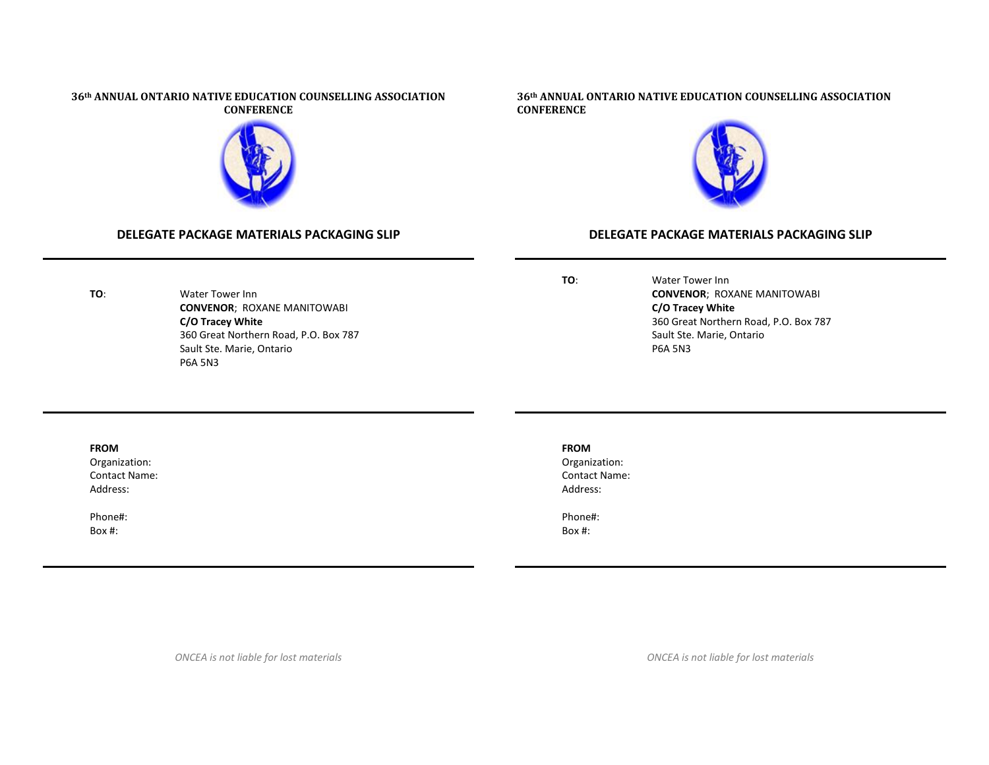

## **DELEGATE PACKAGE MATERIALS PACKAGING SLIP**

### **36th ANNUAL ONTARIO NATIVE EDUCATION COUNSELLING ASSOCIATION CONFERENCE**



## **DELEGATE PACKAGE MATERIALS PACKAGING SLIP**

**TO**: Water Tower Inn **CONVENOR**; ROXANE MANITOWABI **C/O Tracey White** 360 Great Northern Road, P.O. Box 787 Sault Ste. Marie, Ontario P6A 5N3

**TO**: Water Tower Inn **CONVENOR**; ROXANE MANITOWABI **C/O Tracey White** 360 Great Northern Road, P.O. Box 787 Sault Ste. Marie, Ontario P6A 5N3

### **FROM**

Organization: Contact Name: Address:

Phone#: Box #:

## **FROM**

Organization: Contact Name: Address:

Phone#: Box #:

*ONCEA is not liable for lost materials*

*ONCEA is not liable for lost materials*